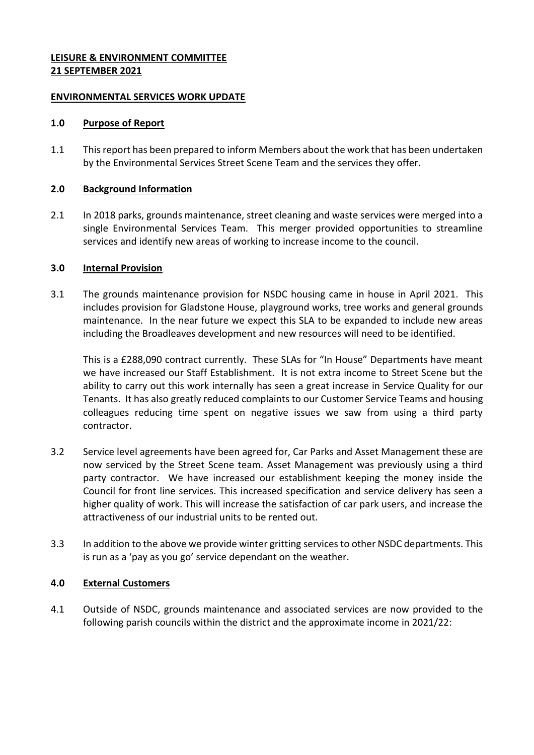### **LEISURE & ENVIRONMENT COMMITTEE 21 SEPTEMBER 2021**

### **ENVIRONMENTAL SERVICES WORK UPDATE**

#### **1.0 Purpose of Report**

1.1 This report has been prepared to inform Members about the work that has been undertaken by the Environmental Services Street Scene Team and the services they offer.

### **2.0 Background Information**

2.1 In 2018 parks, grounds maintenance, street cleaning and waste services were merged into a single Environmental Services Team. This merger provided opportunities to streamline services and identify new areas of working to increase income to the council.

#### **3.0 Internal Provision**

3.1 The grounds maintenance provision for NSDC housing came in house in April 2021. This includes provision for Gladstone House, playground works, tree works and general grounds maintenance. In the near future we expect this SLA to be expanded to include new areas including the Broadleaves development and new resources will need to be identified.

This is a £288,090 contract currently. These SLAs for "In House" Departments have meant we have increased our Staff Establishment. It is not extra income to Street Scene but the ability to carry out this work internally has seen a great increase in Service Quality for our Tenants. It has also greatly reduced complaints to our Customer Service Teams and housing colleagues reducing time spent on negative issues we saw from using a third party contractor.

- 3.2 Service level agreements have been agreed for, Car Parks and Asset Management these are now serviced by the Street Scene team. Asset Management was previously using a third party contractor. We have increased our establishment keeping the money inside the Council for front line services. This increased specification and service delivery has seen a higher quality of work. This will increase the satisfaction of car park users, and increase the attractiveness of our industrial units to be rented out.
- 3.3 In addition to the above we provide winter gritting services to other NSDC departments. This is run as a 'pay as you go' service dependant on the weather.

### **4.0 External Customers**

4.1 Outside of NSDC, grounds maintenance and associated services are now provided to the following parish councils within the district and the approximate income in 2021/22: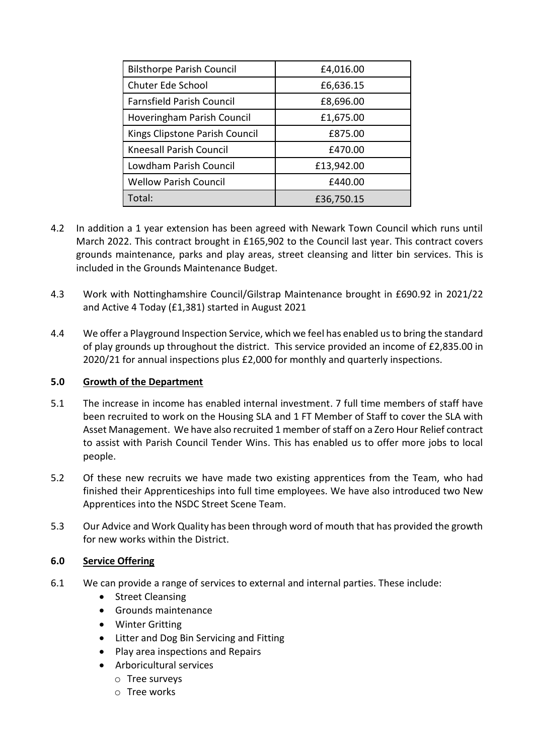| <b>Bilsthorpe Parish Council</b> | £4,016.00  |
|----------------------------------|------------|
| Chuter Ede School                | £6,636.15  |
| <b>Farnsfield Parish Council</b> | £8,696.00  |
| Hoveringham Parish Council       | £1,675.00  |
| Kings Clipstone Parish Council   | £875.00    |
| <b>Kneesall Parish Council</b>   | £470.00    |
| Lowdham Parish Council           | £13,942.00 |
| <b>Wellow Parish Council</b>     | £440.00    |
| Total:                           | £36,750.15 |

- 4.2 In addition a 1 year extension has been agreed with Newark Town Council which runs until March 2022. This contract brought in £165,902 to the Council last year. This contract covers grounds maintenance, parks and play areas, street cleansing and litter bin services. This is included in the Grounds Maintenance Budget.
- 4.3 Work with Nottinghamshire Council/Gilstrap Maintenance brought in £690.92 in 2021/22 and Active 4 Today (£1,381) started in August 2021
- 4.4 We offer a Playground Inspection Service, which we feel has enabled us to bring the standard of play grounds up throughout the district. This service provided an income of £2,835.00 in 2020/21 for annual inspections plus £2,000 for monthly and quarterly inspections.

## **5.0 Growth of the Department**

- 5.1 The increase in income has enabled internal investment. 7 full time members of staff have been recruited to work on the Housing SLA and 1 FT Member of Staff to cover the SLA with Asset Management. We have also recruited 1 member of staff on a Zero Hour Relief contract to assist with Parish Council Tender Wins. This has enabled us to offer more jobs to local people.
- 5.2 Of these new recruits we have made two existing apprentices from the Team, who had finished their Apprenticeships into full time employees. We have also introduced two New Apprentices into the NSDC Street Scene Team.
- 5.3 Our Advice and Work Quality has been through word of mouth that has provided the growth for new works within the District.

## **6.0 Service Offering**

- 6.1 We can provide a range of services to external and internal parties. These include:
	- Street Cleansing
	- Grounds maintenance
	- Winter Gritting
	- Litter and Dog Bin Servicing and Fitting
	- Play area inspections and Repairs
	- Arboricultural services
		- o Tree surveys
		- o Tree works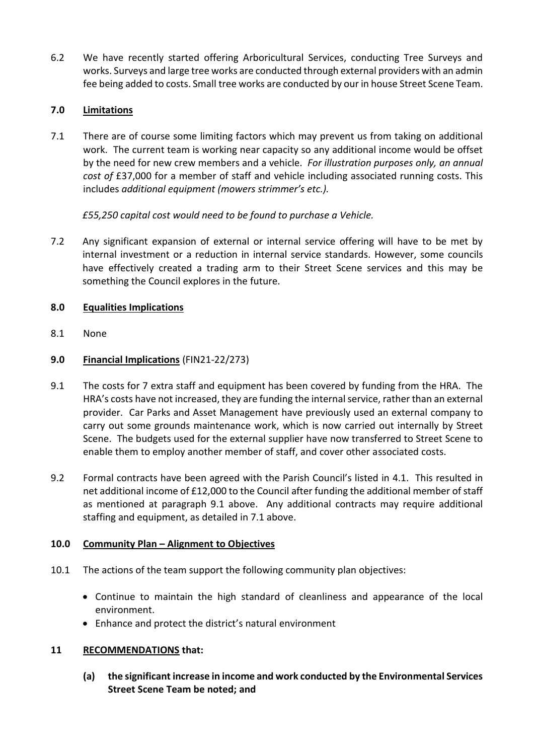6.2 We have recently started offering Arboricultural Services, conducting Tree Surveys and works. Surveys and large tree works are conducted through external providers with an admin fee being added to costs. Small tree works are conducted by our in house Street Scene Team.

# **7.0 Limitations**

7.1 There are of course some limiting factors which may prevent us from taking on additional work. The current team is working near capacity so any additional income would be offset by the need for new crew members and a vehicle. *For illustration purposes only, an annual cost of* £37,000 for a member of staff and vehicle including associated running costs. This includes *additional equipment (mowers strimmer's etc.).*

*£55,250 capital cost would need to be found to purchase a Vehicle.* 

7.2 Any significant expansion of external or internal service offering will have to be met by internal investment or a reduction in internal service standards. However, some councils have effectively created a trading arm to their Street Scene services and this may be something the Council explores in the future.

# **8.0 Equalities Implications**

- 8.1 None
- **9.0 Financial Implications** (FIN21-22/273)
- 9.1 The costs for 7 extra staff and equipment has been covered by funding from the HRA. The HRA's costs have not increased, they are funding the internal service, rather than an external provider. Car Parks and Asset Management have previously used an external company to carry out some grounds maintenance work, which is now carried out internally by Street Scene. The budgets used for the external supplier have now transferred to Street Scene to enable them to employ another member of staff, and cover other associated costs.
- 9.2 Formal contracts have been agreed with the Parish Council's listed in 4.1. This resulted in net additional income of £12,000 to the Council after funding the additional member of staff as mentioned at paragraph 9.1 above. Any additional contracts may require additional staffing and equipment, as detailed in 7.1 above.

## **10.0 Community Plan – Alignment to Objectives**

- 10.1 The actions of the team support the following community plan objectives:
	- Continue to maintain the high standard of cleanliness and appearance of the local environment.
	- Enhance and protect the district's natural environment

## **11 RECOMMENDATIONS that:**

**(a) the significant increase in income and work conducted by the Environmental Services Street Scene Team be noted; and**